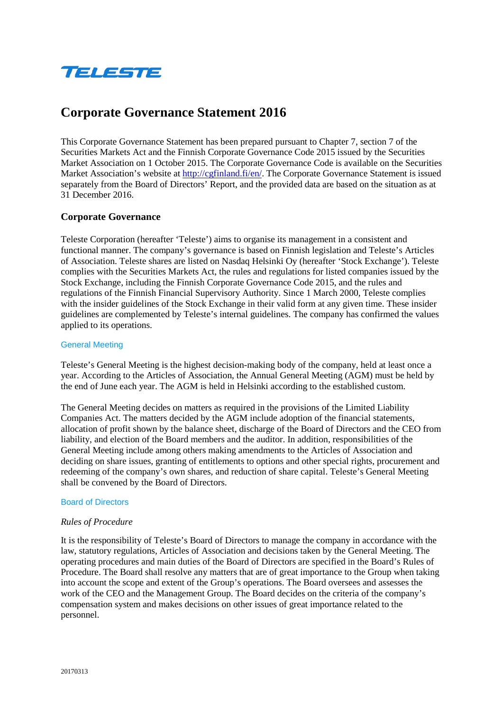

# **Corporate Governance Statement 2016**

This Corporate Governance Statement has been prepared pursuant to Chapter 7, section 7 of the Securities Markets Act and the Finnish Corporate Governance Code 2015 issued by the Securities Market Association on 1 October 2015. The Corporate Governance Code is available on the Securities Market Association's website at [http://cgfinland.fi/en/.](http://cgfinland.fi/en/) The Corporate Governance Statement is issued separately from the Board of Directors' Report, and the provided data are based on the situation as at 31 December 2016.

# **Corporate Governance**

Teleste Corporation (hereafter 'Teleste') aims to organise its management in a consistent and functional manner. The company's governance is based on Finnish legislation and Teleste's Articles of Association. Teleste shares are listed on Nasdaq Helsinki Oy (hereafter 'Stock Exchange'). Teleste complies with the Securities Markets Act, the rules and regulations for listed companies issued by the Stock Exchange, including the Finnish Corporate Governance Code 2015, and the rules and regulations of the Finnish Financial Supervisory Authority. Since 1 March 2000, Teleste complies with the insider guidelines of the Stock Exchange in their valid form at any given time. These insider guidelines are complemented by Teleste's internal guidelines. The company has confirmed the values applied to its operations.

## General Meeting

Teleste's General Meeting is the highest decision-making body of the company, held at least once a year. According to the Articles of Association, the Annual General Meeting (AGM) must be held by the end of June each year. The AGM is held in Helsinki according to the established custom.

The General Meeting decides on matters as required in the provisions of the Limited Liability Companies Act. The matters decided by the AGM include adoption of the financial statements, allocation of profit shown by the balance sheet, discharge of the Board of Directors and the CEO from liability, and election of the Board members and the auditor. In addition, responsibilities of the General Meeting include among others making amendments to the Articles of Association and deciding on share issues, granting of entitlements to options and other special rights, procurement and redeeming of the company's own shares, and reduction of share capital. Teleste's General Meeting shall be convened by the Board of Directors.

#### Board of Directors

## *Rules of Procedure*

It is the responsibility of Teleste's Board of Directors to manage the company in accordance with the law, statutory regulations, Articles of Association and decisions taken by the General Meeting. The operating procedures and main duties of the Board of Directors are specified in the Board's Rules of Procedure. The Board shall resolve any matters that are of great importance to the Group when taking into account the scope and extent of the Group's operations. The Board oversees and assesses the work of the CEO and the Management Group. The Board decides on the criteria of the company's compensation system and makes decisions on other issues of great importance related to the personnel.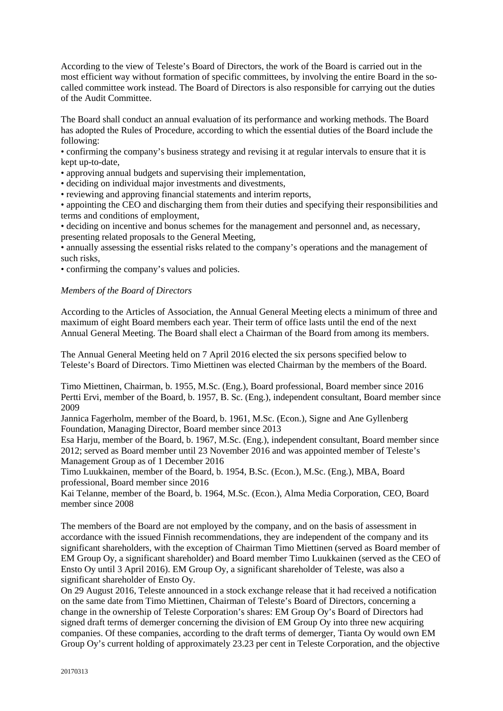According to the view of Teleste's Board of Directors, the work of the Board is carried out in the most efficient way without formation of specific committees, by involving the entire Board in the socalled committee work instead. The Board of Directors is also responsible for carrying out the duties of the Audit Committee.

The Board shall conduct an annual evaluation of its performance and working methods. The Board has adopted the Rules of Procedure, according to which the essential duties of the Board include the following:

• confirming the company's business strategy and revising it at regular intervals to ensure that it is kept up-to-date,

• approving annual budgets and supervising their implementation,

• deciding on individual major investments and divestments,

• reviewing and approving financial statements and interim reports,

• appointing the CEO and discharging them from their duties and specifying their responsibilities and terms and conditions of employment,

• deciding on incentive and bonus schemes for the management and personnel and, as necessary, presenting related proposals to the General Meeting,

• annually assessing the essential risks related to the company's operations and the management of such risks,

• confirming the company's values and policies.

## *Members of the Board of Directors*

According to the Articles of Association, the Annual General Meeting elects a minimum of three and maximum of eight Board members each year. Their term of office lasts until the end of the next Annual General Meeting. The Board shall elect a Chairman of the Board from among its members.

The Annual General Meeting held on 7 April 2016 elected the six persons specified below to Teleste's Board of Directors. Timo Miettinen was elected Chairman by the members of the Board.

Timo Miettinen, Chairman, b. 1955, M.Sc. (Eng.), Board professional, Board member since 2016 Pertti Ervi, member of the Board, b. 1957, B. Sc. (Eng.), independent consultant, Board member since 2009

Jannica Fagerholm, member of the Board, b. 1961, M.Sc. (Econ.), Signe and Ane Gyllenberg Foundation, Managing Director, Board member since 2013

Esa Harju, member of the Board, b. 1967, M.Sc. (Eng.), independent consultant, Board member since 2012; served as Board member until 23 November 2016 and was appointed member of Teleste's Management Group as of 1 December 2016

Timo Luukkainen, member of the Board, b. 1954, B.Sc. (Econ.), M.Sc. (Eng.), MBA, Board professional, Board member since 2016

Kai Telanne, member of the Board, b. 1964, M.Sc. (Econ.), Alma Media Corporation, CEO, Board member since 2008

The members of the Board are not employed by the company, and on the basis of assessment in accordance with the issued Finnish recommendations, they are independent of the company and its significant shareholders, with the exception of Chairman Timo Miettinen (served as Board member of EM Group Oy, a significant shareholder) and Board member Timo Luukkainen (served as the CEO of Ensto Oy until 3 April 2016). EM Group Oy, a significant shareholder of Teleste, was also a significant shareholder of Ensto Oy.

On 29 August 2016, Teleste announced in a stock exchange release that it had received a notification on the same date from Timo Miettinen, Chairman of Teleste's Board of Directors, concerning a change in the ownership of Teleste Corporation's shares: EM Group Oy's Board of Directors had signed draft terms of demerger concerning the division of EM Group Oy into three new acquiring companies. Of these companies, according to the draft terms of demerger, Tianta Oy would own EM Group Oy's current holding of approximately 23.23 per cent in Teleste Corporation, and the objective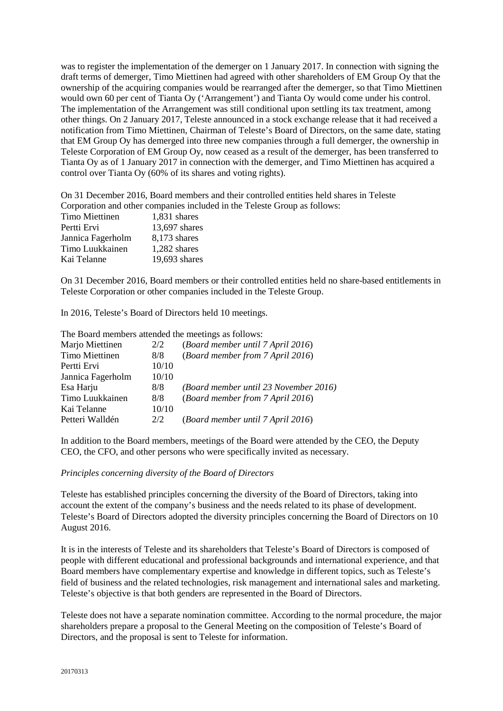was to register the implementation of the demerger on 1 January 2017. In connection with signing the draft terms of demerger, Timo Miettinen had agreed with other shareholders of EM Group Oy that the ownership of the acquiring companies would be rearranged after the demerger, so that Timo Miettinen would own 60 per cent of Tianta Oy ('Arrangement') and Tianta Oy would come under his control. The implementation of the Arrangement was still conditional upon settling its tax treatment, among other things. On 2 January 2017, Teleste announced in a stock exchange release that it had received a notification from Timo Miettinen, Chairman of Teleste's Board of Directors, on the same date, stating that EM Group Oy has demerged into three new companies through a full demerger, the ownership in Teleste Corporation of EM Group Oy, now ceased as a result of the demerger, has been transferred to Tianta Oy as of 1 January 2017 in connection with the demerger, and Timo Miettinen has acquired a control over Tianta Oy (60% of its shares and voting rights).

On 31 December 2016, Board members and their controlled entities held shares in Teleste Corporation and other companies included in the Teleste Group as follows:

| corporation and other companies merate |               |
|----------------------------------------|---------------|
| Timo Miettinen                         | 1,831 shares  |
| Pertti Ervi                            | 13,697 shares |
| Jannica Fagerholm                      | 8,173 shares  |
| Timo Luukkainen                        | 1,282 shares  |
| Kai Telanne                            | 19,693 shares |

On 31 December 2016, Board members or their controlled entities held no share-based entitlements in Teleste Corporation or other companies included in the Teleste Group.

In 2016, Teleste's Board of Directors held 10 meetings.

The Board members attended the meetings as follows:

| 2/2   | (Board member until 7 April 2016)     |
|-------|---------------------------------------|
| 8/8   | (Board member from 7 April 2016)      |
| 10/10 |                                       |
| 10/10 |                                       |
| 8/8   | (Board member until 23 November 2016) |
| 8/8   | (Board member from 7 April 2016)      |
| 10/10 |                                       |
| 2/2   | (Board member until 7 April 2016)     |
|       |                                       |

In addition to the Board members, meetings of the Board were attended by the CEO, the Deputy CEO, the CFO, and other persons who were specifically invited as necessary.

#### *Principles concerning diversity of the Board of Directors*

Teleste has established principles concerning the diversity of the Board of Directors, taking into account the extent of the company's business and the needs related to its phase of development. Teleste's Board of Directors adopted the diversity principles concerning the Board of Directors on 10 August 2016.

It is in the interests of Teleste and its shareholders that Teleste's Board of Directors is composed of people with different educational and professional backgrounds and international experience, and that Board members have complementary expertise and knowledge in different topics, such as Teleste's field of business and the related technologies, risk management and international sales and marketing. Teleste's objective is that both genders are represented in the Board of Directors.

Teleste does not have a separate nomination committee. According to the normal procedure, the major shareholders prepare a proposal to the General Meeting on the composition of Teleste's Board of Directors, and the proposal is sent to Teleste for information.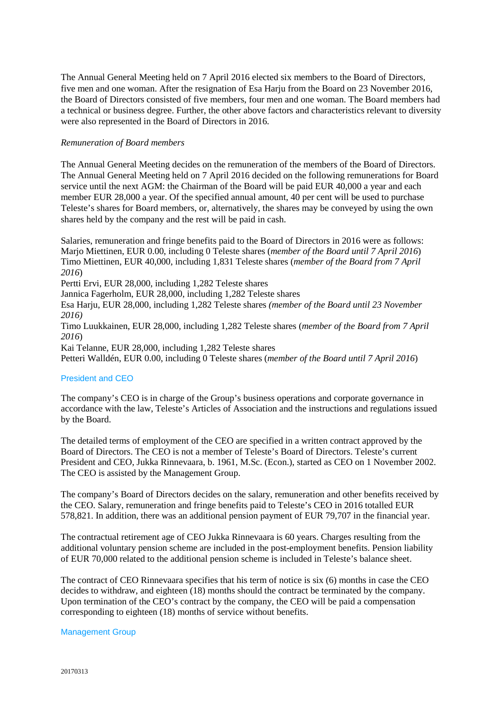The Annual General Meeting held on 7 April 2016 elected six members to the Board of Directors, five men and one woman. After the resignation of Esa Harju from the Board on 23 November 2016, the Board of Directors consisted of five members, four men and one woman. The Board members had a technical or business degree. Further, the other above factors and characteristics relevant to diversity were also represented in the Board of Directors in 2016.

## *Remuneration of Board members*

The Annual General Meeting decides on the remuneration of the members of the Board of Directors. The Annual General Meeting held on 7 April 2016 decided on the following remunerations for Board service until the next AGM: the Chairman of the Board will be paid EUR 40,000 a year and each member EUR 28,000 a year. Of the specified annual amount, 40 per cent will be used to purchase Teleste's shares for Board members, or, alternatively, the shares may be conveyed by using the own shares held by the company and the rest will be paid in cash.

Salaries, remuneration and fringe benefits paid to the Board of Directors in 2016 were as follows: Marjo Miettinen, EUR 0.00, including 0 Teleste shares (*member of the Board until 7 April 2016*) Timo Miettinen, EUR 40,000, including 1,831 Teleste shares (*member of the Board from 7 April 2016*)

Pertti Ervi, EUR 28,000, including 1,282 Teleste shares

Jannica Fagerholm, EUR 28,000, including 1,282 Teleste shares

Esa Harju, EUR 28,000, including 1,282 Teleste shares *(member of the Board until 23 November 2016)*

Timo Luukkainen, EUR 28,000, including 1,282 Teleste shares (*member of the Board from 7 April 2016*)

Kai Telanne, EUR 28,000, including 1,282 Teleste shares

Petteri Walldén, EUR 0.00, including 0 Teleste shares (*member of the Board until 7 April 2016*)

# President and CEO

The company's CEO is in charge of the Group's business operations and corporate governance in accordance with the law, Teleste's Articles of Association and the instructions and regulations issued by the Board.

The detailed terms of employment of the CEO are specified in a written contract approved by the Board of Directors. The CEO is not a member of Teleste's Board of Directors. Teleste's current President and CEO, Jukka Rinnevaara, b. 1961, M.Sc. (Econ.), started as CEO on 1 November 2002. The CEO is assisted by the Management Group.

The company's Board of Directors decides on the salary, remuneration and other benefits received by the CEO. Salary, remuneration and fringe benefits paid to Teleste's CEO in 2016 totalled EUR 578,821. In addition, there was an additional pension payment of EUR 79,707 in the financial year.

The contractual retirement age of CEO Jukka Rinnevaara is 60 years. Charges resulting from the additional voluntary pension scheme are included in the post-employment benefits. Pension liability of EUR 70,000 related to the additional pension scheme is included in Teleste's balance sheet.

The contract of CEO Rinnevaara specifies that his term of notice is six (6) months in case the CEO decides to withdraw, and eighteen (18) months should the contract be terminated by the company. Upon termination of the CEO's contract by the company, the CEO will be paid a compensation corresponding to eighteen (18) months of service without benefits.

# Management Group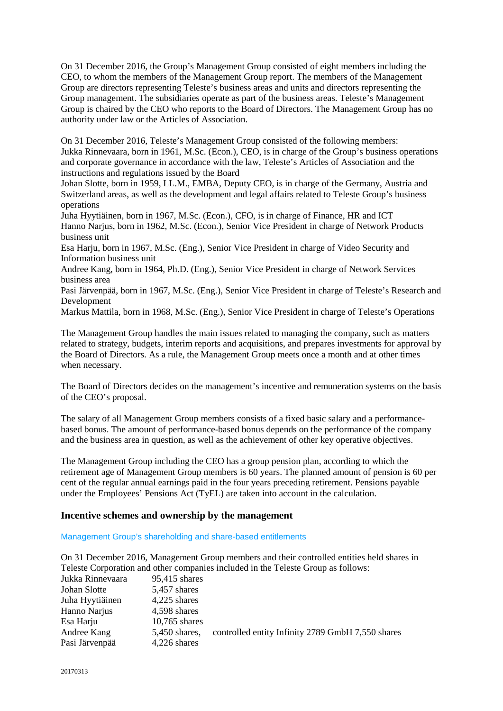On 31 December 2016, the Group's Management Group consisted of eight members including the CEO, to whom the members of the Management Group report. The members of the Management Group are directors representing Teleste's business areas and units and directors representing the Group management. The subsidiaries operate as part of the business areas. Teleste's Management Group is chaired by the CEO who reports to the Board of Directors. The Management Group has no authority under law or the Articles of Association.

On 31 December 2016, Teleste's Management Group consisted of the following members: Jukka Rinnevaara, born in 1961, M.Sc. (Econ.), CEO, is in charge of the Group's business operations and corporate governance in accordance with the law, Teleste's Articles of Association and the instructions and regulations issued by the Board

Johan Slotte, born in 1959, LL.M., EMBA, Deputy CEO, is in charge of the Germany, Austria and Switzerland areas, as well as the development and legal affairs related to Teleste Group's business operations

Juha Hyytiäinen, born in 1967, M.Sc. (Econ.), CFO, is in charge of Finance, HR and ICT Hanno Narjus, born in 1962, M.Sc. (Econ.), Senior Vice President in charge of Network Products business unit

Esa Harju, born in 1967, M.Sc. (Eng.), Senior Vice President in charge of Video Security and Information business unit

Andree Kang, born in 1964, Ph.D. (Eng.), Senior Vice President in charge of Network Services business area

Pasi Järvenpää, born in 1967, M.Sc. (Eng.), Senior Vice President in charge of Teleste's Research and Development

Markus Mattila, born in 1968, M.Sc. (Eng.), Senior Vice President in charge of Teleste's Operations

The Management Group handles the main issues related to managing the company, such as matters related to strategy, budgets, interim reports and acquisitions, and prepares investments for approval by the Board of Directors. As a rule, the Management Group meets once a month and at other times when necessary.

The Board of Directors decides on the management's incentive and remuneration systems on the basis of the CEO's proposal.

The salary of all Management Group members consists of a fixed basic salary and a performancebased bonus. The amount of performance-based bonus depends on the performance of the company and the business area in question, as well as the achievement of other key operative objectives.

The Management Group including the CEO has a group pension plan, according to which the retirement age of Management Group members is 60 years. The planned amount of pension is 60 per cent of the regular annual earnings paid in the four years preceding retirement. Pensions payable under the Employees' Pensions Act (TyEL) are taken into account in the calculation.

# **Incentive schemes and ownership by the management**

Management Group's shareholding and share-based entitlements

On 31 December 2016, Management Group members and their controlled entities held shares in Teleste Corporation and other companies included in the Teleste Group as follows:

| Jukka Rinnevaara | 95,415 shares   |                                                   |
|------------------|-----------------|---------------------------------------------------|
| Johan Slotte     | 5,457 shares    |                                                   |
| Juha Hyytiäinen  | 4,225 shares    |                                                   |
| Hanno Narjus     | 4,598 shares    |                                                   |
| Esa Harju        | $10,765$ shares |                                                   |
| Andree Kang      | 5,450 shares,   | controlled entity Infinity 2789 GmbH 7,550 shares |
| Pasi Järvenpää   | 4,226 shares    |                                                   |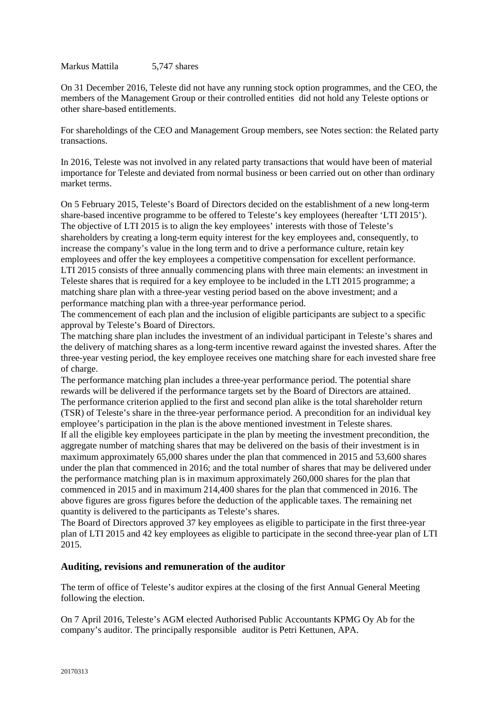Markus Mattila 5,747 shares

On 31 December 2016, Teleste did not have any running stock option programmes, and the CEO, the members of the Management Group or their controlled entities did not hold any Teleste options or other share-based entitlements.

For shareholdings of the CEO and Management Group members, see Notes section: the Related party transactions.

In 2016, Teleste was not involved in any related party transactions that would have been of material importance for Teleste and deviated from normal business or been carried out on other than ordinary market terms.

On 5 February 2015, Teleste's Board of Directors decided on the establishment of a new long-term share-based incentive programme to be offered to Teleste's key employees (hereafter 'LTI 2015'). The objective of LTI 2015 is to align the key employees' interests with those of Teleste's shareholders by creating a long-term equity interest for the key employees and, consequently, to increase the company's value in the long term and to drive a performance culture, retain key employees and offer the key employees a competitive compensation for excellent performance. LTI 2015 consists of three annually commencing plans with three main elements: an investment in Teleste shares that is required for a key employee to be included in the LTI 2015 programme; a matching share plan with a three-year vesting period based on the above investment; and a performance matching plan with a three-year performance period.

The commencement of each plan and the inclusion of eligible participants are subject to a specific approval by Teleste's Board of Directors.

The matching share plan includes the investment of an individual participant in Teleste's shares and the delivery of matching shares as a long-term incentive reward against the invested shares. After the three-year vesting period, the key employee receives one matching share for each invested share free of charge.

The performance matching plan includes a three-year performance period. The potential share rewards will be delivered if the performance targets set by the Board of Directors are attained. The performance criterion applied to the first and second plan alike is the total shareholder return (TSR) of Teleste's share in the three-year performance period. A precondition for an individual key employee's participation in the plan is the above mentioned investment in Teleste shares.

If all the eligible key employees participate in the plan by meeting the investment precondition, the aggregate number of matching shares that may be delivered on the basis of their investment is in maximum approximately 65,000 shares under the plan that commenced in 2015 and 53,600 shares under the plan that commenced in 2016; and the total number of shares that may be delivered under the performance matching plan is in maximum approximately 260,000 shares for the plan that commenced in 2015 and in maximum 214,400 shares for the plan that commenced in 2016. The above figures are gross figures before the deduction of the applicable taxes. The remaining net quantity is delivered to the participants as Teleste's shares.

The Board of Directors approved 37 key employees as eligible to participate in the first three-year plan of LTI 2015 and 42 key employees as eligible to participate in the second three-year plan of LTI 2015.

# **Auditing, revisions and remuneration of the auditor**

The term of office of Teleste's auditor expires at the closing of the first Annual General Meeting following the election.

On 7 April 2016, Teleste's AGM elected Authorised Public Accountants KPMG Oy Ab for the company's auditor. The principally responsible auditor is Petri Kettunen, APA.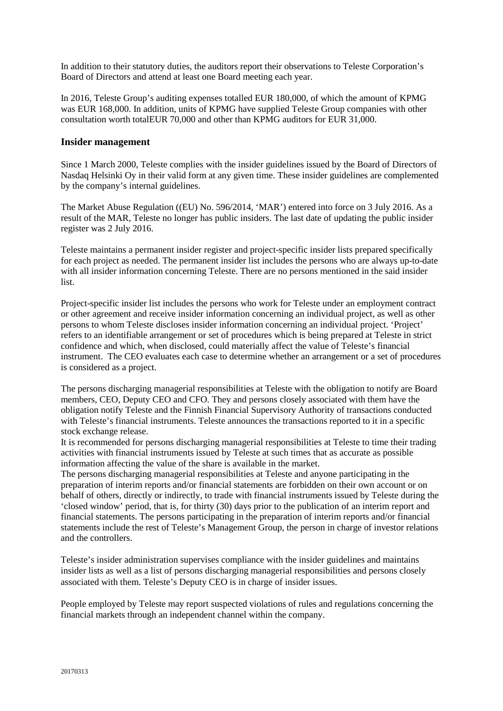In addition to their statutory duties, the auditors report their observations to Teleste Corporation's Board of Directors and attend at least one Board meeting each year.

In 2016, Teleste Group's auditing expenses totalled EUR 180,000, of which the amount of KPMG was EUR 168,000. In addition, units of KPMG have supplied Teleste Group companies with other consultation worth totalEUR 70,000 and other than KPMG auditors for EUR 31,000.

# **Insider management**

Since 1 March 2000, Teleste complies with the insider guidelines issued by the Board of Directors of Nasdaq Helsinki Oy in their valid form at any given time. These insider guidelines are complemented by the company's internal guidelines.

The Market Abuse Regulation ((EU) No. 596/2014, 'MAR') entered into force on 3 July 2016. As a result of the MAR, Teleste no longer has public insiders. The last date of updating the public insider register was 2 July 2016.

Teleste maintains a permanent insider register and project-specific insider lists prepared specifically for each project as needed. The permanent insider list includes the persons who are always up-to-date with all insider information concerning Teleste. There are no persons mentioned in the said insider list.

Project-specific insider list includes the persons who work for Teleste under an employment contract or other agreement and receive insider information concerning an individual project, as well as other persons to whom Teleste discloses insider information concerning an individual project. 'Project' refers to an identifiable arrangement or set of procedures which is being prepared at Teleste in strict confidence and which, when disclosed, could materially affect the value of Teleste's financial instrument. The CEO evaluates each case to determine whether an arrangement or a set of procedures is considered as a project.

The persons discharging managerial responsibilities at Teleste with the obligation to notify are Board members, CEO, Deputy CEO and CFO. They and persons closely associated with them have the obligation notify Teleste and the Finnish Financial Supervisory Authority of transactions conducted with Teleste's financial instruments. Teleste announces the transactions reported to it in a specific stock exchange release.

It is recommended for persons discharging managerial responsibilities at Teleste to time their trading activities with financial instruments issued by Teleste at such times that as accurate as possible information affecting the value of the share is available in the market.

The persons discharging managerial responsibilities at Teleste and anyone participating in the preparation of interim reports and/or financial statements are forbidden on their own account or on behalf of others, directly or indirectly, to trade with financial instruments issued by Teleste during the 'closed window' period, that is, for thirty (30) days prior to the publication of an interim report and financial statements. The persons participating in the preparation of interim reports and/or financial statements include the rest of Teleste's Management Group, the person in charge of investor relations and the controllers.

Teleste's insider administration supervises compliance with the insider guidelines and maintains insider lists as well as a list of persons discharging managerial responsibilities and persons closely associated with them. Teleste's Deputy CEO is in charge of insider issues.

People employed by Teleste may report suspected violations of rules and regulations concerning the financial markets through an independent channel within the company.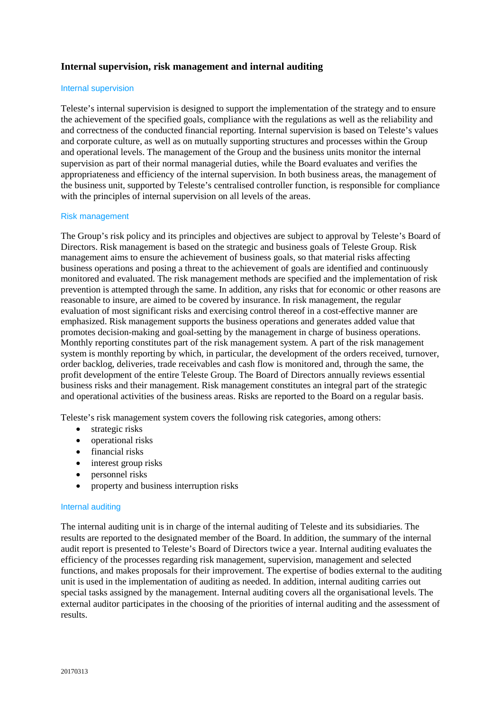# **Internal supervision, risk management and internal auditing**

## Internal supervision

Teleste's internal supervision is designed to support the implementation of the strategy and to ensure the achievement of the specified goals, compliance with the regulations as well as the reliability and and correctness of the conducted financial reporting. Internal supervision is based on Teleste's values and corporate culture, as well as on mutually supporting structures and processes within the Group and operational levels. The management of the Group and the business units monitor the internal supervision as part of their normal managerial duties, while the Board evaluates and verifies the appropriateness and efficiency of the internal supervision. In both business areas, the management of the business unit, supported by Teleste's centralised controller function, is responsible for compliance with the principles of internal supervision on all levels of the areas.

## Risk management

The Group's risk policy and its principles and objectives are subject to approval by Teleste's Board of Directors. Risk management is based on the strategic and business goals of Teleste Group. Risk management aims to ensure the achievement of business goals, so that material risks affecting business operations and posing a threat to the achievement of goals are identified and continuously monitored and evaluated. The risk management methods are specified and the implementation of risk prevention is attempted through the same. In addition, any risks that for economic or other reasons are reasonable to insure, are aimed to be covered by insurance. In risk management, the regular evaluation of most significant risks and exercising control thereof in a cost-effective manner are emphasized. Risk management supports the business operations and generates added value that promotes decision-making and goal-setting by the management in charge of business operations. Monthly reporting constitutes part of the risk management system. A part of the risk management system is monthly reporting by which, in particular, the development of the orders received, turnover, order backlog, deliveries, trade receivables and cash flow is monitored and, through the same, the profit development of the entire Teleste Group. The Board of Directors annually reviews essential business risks and their management. Risk management constitutes an integral part of the strategic and operational activities of the business areas. Risks are reported to the Board on a regular basis.

Teleste's risk management system covers the following risk categories, among others:

- strategic risks
- operational risks
- financial risks
- interest group risks
- personnel risks
- property and business interruption risks

# Internal auditing

The internal auditing unit is in charge of the internal auditing of Teleste and its subsidiaries. The results are reported to the designated member of the Board. In addition, the summary of the internal audit report is presented to Teleste's Board of Directors twice a year. Internal auditing evaluates the efficiency of the processes regarding risk management, supervision, management and selected functions, and makes proposals for their improvement. The expertise of bodies external to the auditing unit is used in the implementation of auditing as needed. In addition, internal auditing carries out special tasks assigned by the management. Internal auditing covers all the organisational levels. The external auditor participates in the choosing of the priorities of internal auditing and the assessment of results.